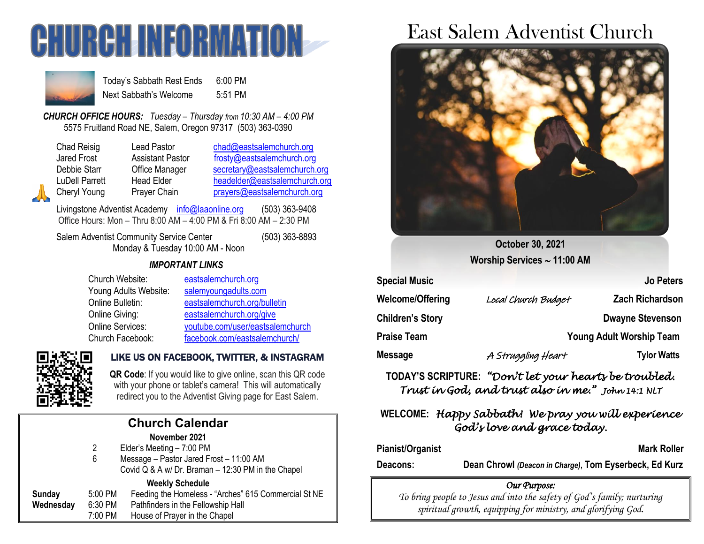



Today's Sabbath Rest Ends 6:00 PM Next Sabbath's Welcome 5:51 PM

*CHURCH OFFICE HOURS: Tuesday – Thursday from 10:30 AM – 4:00 PM* 5575 Fruitland Road NE, Salem, Oregon 97317 (503) 363-0390

Lead Pastor [chad@eastsalemchurch.org](mailto:chad@eastsalemchurch.org) Assistant Pastor [frosty@eastsalemchurch.org](mailto:frosty@eastsalemchurch.org) Office Manager [secretary@eastsalemchurch.org](mailto:secretary@eastsalemchurch.org) Head Elder [headelder@eastsalemchurch.org](mailto:headelder@eastsalemchurch.org) Prayer Chain [prayers@eastsalemchurch.org](mailto:prayers@eastsalemchurch.org)

Livingstone Adventist Academy [info@laaonline.org](mailto:info@laaonline.org) (503) 363-9408 Office Hours: Mon – Thru 8:00 AM – 4:00 PM & Fri 8:00 AM – 2:30 PM

Salem Adventist Community Service Center (503) 363-8893 Monday & Tuesday 10:00 AM - Noon

## *IMPORTANT LINKS*

| Church Website:         | eastsalemchurch.org              |
|-------------------------|----------------------------------|
| Young Adults Website:   | salemyoungadults.com             |
| Online Bulletin:        | eastsalemchurch.org/bulletin     |
| Online Giving:          | eastsalemchurch.org/give         |
| <b>Online Services:</b> | youtube.com/user/eastsalemchurch |
| Church Facebook:        | facebook.com/eastsalemchurch/    |



# LIKE US ON FACEBOOK, TWITTER, & INSTAGRAM

**QR Code**: If you would like to give online, scan this QR code with your phone or tablet's camera! This will automatically redirect you to the Adventist Giving page for East Salem.

| <b>Church Calendar</b> |         |                                                      |  |  |
|------------------------|---------|------------------------------------------------------|--|--|
| November 2021          |         |                                                      |  |  |
|                        | 2       | Elder's Meeting - 7:00 PM                            |  |  |
|                        | 6       | Message - Pastor Jared Frost - 11:00 AM              |  |  |
|                        |         | Covid Q & A w/ Dr. Braman - 12:30 PM in the Chapel   |  |  |
|                        |         | <b>Weekly Schedule</b>                               |  |  |
| Sunday                 | 5:00 PM | Feeding the Homeless - "Arches" 615 Commercial St NE |  |  |
| Wednesday              | 6:30 PM | Pathfinders in the Fellowship Hall                   |  |  |
|                        | 7:00 PM | House of Prayer in the Chapel                        |  |  |

# East Salem Adventist Church



**October 30, 2021 Worship Services 11:00 AM**

| <b>Special Music</b>    |                                 | <b>Jo Peters</b>        |  |
|-------------------------|---------------------------------|-------------------------|--|
| Welcome/Offering        | Local Church Budget             | <b>Zach Richardson</b>  |  |
| <b>Children's Story</b> |                                 | <b>Dwayne Stevenson</b> |  |
| <b>Praise Team</b>      | <b>Young Adult Worship Team</b> |                         |  |
| Message                 | A Struggling Heart              | <b>Tylor Watts</b>      |  |

**TODAY'S SCRIPTURE:** *"Don't let your hearts be troubled. Trust in God, and trust also in me." John 14:1 NLT* 

# **WELCOME:** *Happy Sabbath! We pray you will experience God's love and grace today.*

#### Pianist/Organist **Mark Roller** Mark Roller

**Deacons: Dean Chrowl** *(Deacon in Charge)***, Tom Eyserbeck, Ed Kurz**

### *Our Purpose:*

*To bring people to Jesus and into the safety of God's family; nurturing spiritual growth, equipping for ministry, and glorifying God.*